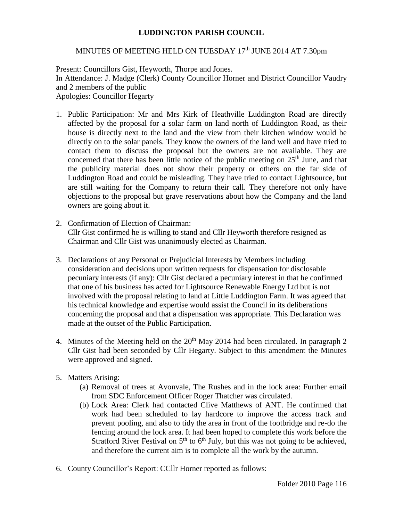## **LUDDINGTON PARISH COUNCIL**

## MINUTES OF MEETING HELD ON TUESDAY 17<sup>th</sup> JUNE 2014 AT 7.30pm

Present: Councillors Gist, Heyworth, Thorpe and Jones. In Attendance: J. Madge (Clerk) County Councillor Horner and District Councillor Vaudry and 2 members of the public Apologies: Councillor Hegarty

- 1. Public Participation: Mr and Mrs Kirk of Heathville Luddington Road are directly affected by the proposal for a solar farm on land north of Luddington Road, as their house is directly next to the land and the view from their kitchen window would be directly on to the solar panels. They know the owners of the land well and have tried to contact them to discuss the proposal but the owners are not available. They are concerned that there has been little notice of the public meeting on  $25<sup>th</sup>$  June, and that the publicity material does not show their property or others on the far side of Luddington Road and could be misleading. They have tried to contact Lightsource, but are still waiting for the Company to return their call. They therefore not only have objections to the proposal but grave reservations about how the Company and the land owners are going about it.
- 2. Confirmation of Election of Chairman: Cllr Gist confirmed he is willing to stand and Cllr Heyworth therefore resigned as Chairman and Cllr Gist was unanimously elected as Chairman.
- 3. Declarations of any Personal or Prejudicial Interests by Members including consideration and decisions upon written requests for dispensation for disclosable pecuniary interests (if any): Cllr Gist declared a pecuniary interest in that he confirmed that one of his business has acted for Lightsource Renewable Energy Ltd but is not involved with the proposal relating to land at Little Luddington Farm. It was agreed that his technical knowledge and expertise would assist the Council in its deliberations concerning the proposal and that a dispensation was appropriate. This Declaration was made at the outset of the Public Participation.
- 4. Minutes of the Meeting held on the  $20<sup>th</sup>$  May 2014 had been circulated. In paragraph 2 Cllr Gist had been seconded by Cllr Hegarty. Subject to this amendment the Minutes were approved and signed.
- 5. Matters Arising:
	- (a) Removal of trees at Avonvale, The Rushes and in the lock area: Further email from SDC Enforcement Officer Roger Thatcher was circulated.
	- (b) Lock Area: Clerk had contacted Clive Matthews of ANT. He confirmed that work had been scheduled to lay hardcore to improve the access track and prevent pooling, and also to tidy the area in front of the footbridge and re-do the fencing around the lock area. It had been hoped to complete this work before the Stratford River Festival on  $5<sup>th</sup>$  to  $6<sup>th</sup>$  July, but this was not going to be achieved, and therefore the current aim is to complete all the work by the autumn.
- 6. County Councillor's Report: CCllr Horner reported as follows: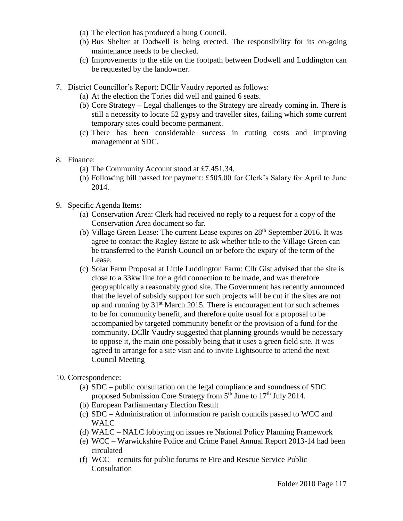- (a) The election has produced a hung Council.
- (b) Bus Shelter at Dodwell is being erected. The responsibility for its on-going maintenance needs to be checked.
- (c) Improvements to the stile on the footpath between Dodwell and Luddington can be requested by the landowner.
- 7. District Councillor's Report: DCllr Vaudry reported as follows:
	- (a) At the election the Tories did well and gained 6 seats.
	- (b) Core Strategy Legal challenges to the Strategy are already coming in. There is still a necessity to locate 52 gypsy and traveller sites, failing which some current temporary sites could become permanent.
	- (c) There has been considerable success in cutting costs and improving management at SDC.
- 8. Finance:
	- (a) The Community Account stood at £7,451.34.
	- (b) Following bill passed for payment: £505.00 for Clerk's Salary for April to June 2014.
- 9. Specific Agenda Items:
	- (a) Conservation Area: Clerk had received no reply to a request for a copy of the Conservation Area document so far.
	- (b) Village Green Lease: The current Lease expires on 28<sup>th</sup> September 2016. It was agree to contact the Ragley Estate to ask whether title to the Village Green can be transferred to the Parish Council on or before the expiry of the term of the Lease.
	- (c) Solar Farm Proposal at Little Luddington Farm: Cllr Gist advised that the site is close to a 33kw line for a grid connection to be made, and was therefore geographically a reasonably good site. The Government has recently announced that the level of subsidy support for such projects will be cut if the sites are not up and running by  $31<sup>st</sup>$  March 2015. There is encouragement for such schemes to be for community benefit, and therefore quite usual for a proposal to be accompanied by targeted community benefit or the provision of a fund for the community. DCllr Vaudry suggested that planning grounds would be necessary to oppose it, the main one possibly being that it uses a green field site. It was agreed to arrange for a site visit and to invite Lightsource to attend the next Council Meeting
- 10. Correspondence:
	- (a) SDC public consultation on the legal compliance and soundness of SDC proposed Submission Core Strategy from 5<sup>th</sup> June to 17<sup>th</sup> July 2014.
	- (b) European Parliamentary Election Result
	- (c) SDC Administration of information re parish councils passed to WCC and WALC
	- (d) WALC NALC lobbying on issues re National Policy Planning Framework
	- (e) WCC Warwickshire Police and Crime Panel Annual Report 2013-14 had been circulated
	- (f) WCC recruits for public forums re Fire and Rescue Service Public Consultation